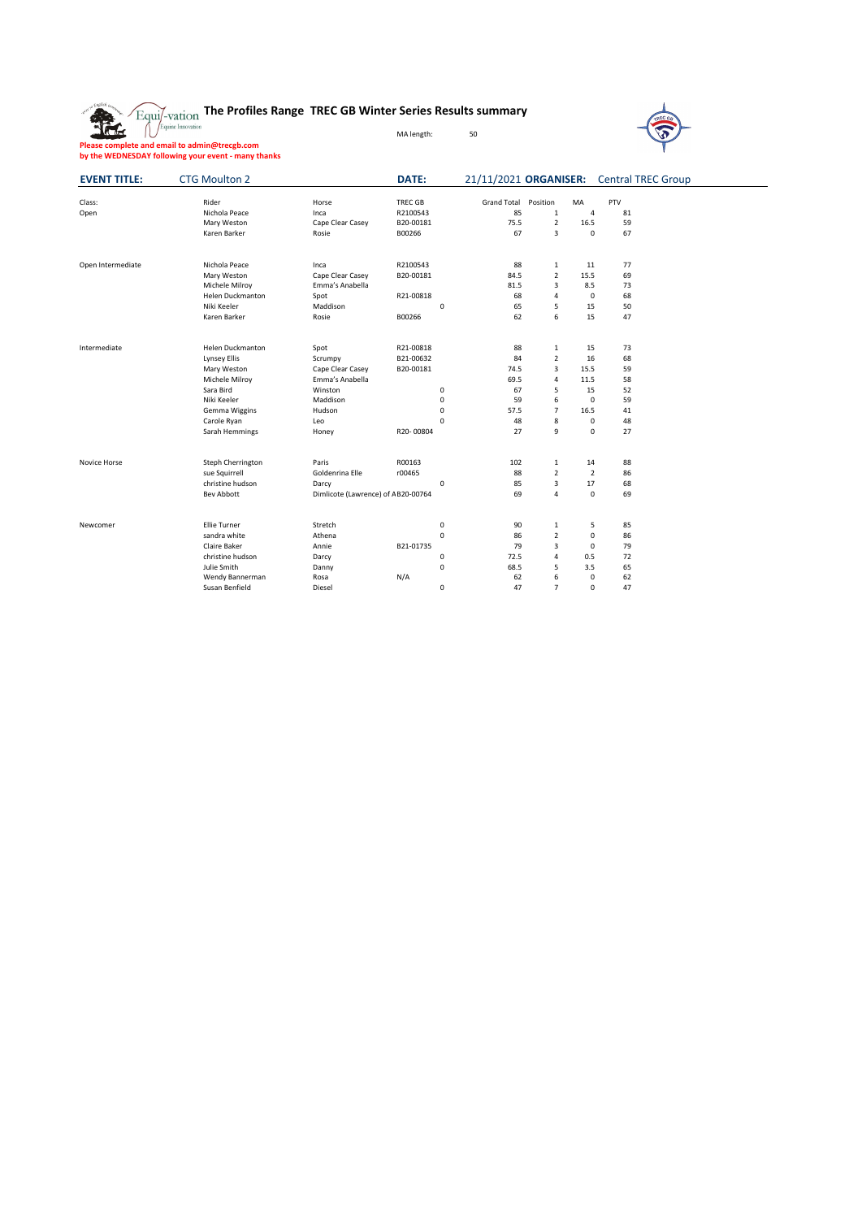



**Please complete and email to admin@trecgb.com by the WEDNESDAY following your event - many thanks**

| <b>EVENT TITLE:</b> | <b>CTG Moulton 2</b>    |                                    | <b>DATE:</b> | 21/11/2021 ORGANISER: |                |                | <b>Central TREC Group</b> |  |
|---------------------|-------------------------|------------------------------------|--------------|-----------------------|----------------|----------------|---------------------------|--|
| Class:              | Rider                   | Horse                              | TREC GB      | <b>Grand Total</b>    | Position       | MA             | <b>PTV</b>                |  |
| Open                | Nichola Peace           | Inca                               | R2100543     | 85                    | $\mathbf{1}$   | 4              | 81                        |  |
|                     | Mary Weston             | Cape Clear Casey                   | B20-00181    | 75.5                  | $\overline{2}$ | 16.5           | 59                        |  |
|                     | Karen Barker            | Rosie                              | B00266       | 67                    | 3              | $\mathbf 0$    | 67                        |  |
| Open Intermediate   | Nichola Peace           | Inca                               | R2100543     | 88                    | $\mathbf{1}$   | 11             | 77                        |  |
|                     | Mary Weston             | Cape Clear Casey                   | B20-00181    | 84.5                  | $\overline{2}$ | 15.5           | 69                        |  |
|                     | Michele Milroy          | Emma's Anabella                    |              | 81.5                  | 3              | 8.5            | 73                        |  |
|                     | <b>Helen Duckmanton</b> | Spot                               | R21-00818    | 68                    | 4              | 0              | 68                        |  |
|                     | Niki Keeler             | Maddison                           | 0            | 65                    | 5              | 15             | 50                        |  |
|                     | Karen Barker            | Rosie                              | B00266       | 62                    | 6              | 15             | 47                        |  |
| Intermediate        | <b>Helen Duckmanton</b> | Spot                               | R21-00818    | 88                    | $\mathbf{1}$   | 15             | 73                        |  |
|                     | Lynsey Ellis            | Scrumpy                            | B21-00632    | 84                    | $\overline{2}$ | 16             | 68                        |  |
|                     | Mary Weston             | Cape Clear Casey                   | B20-00181    | 74.5                  | 3              | 15.5           | 59                        |  |
|                     | Michele Milroy          | Emma's Anabella                    |              | 69.5                  | 4              | 11.5           | 58                        |  |
|                     | Sara Bird               | Winston                            | 0            | 67                    | 5              | 15             | 52                        |  |
|                     | Niki Keeler             | Maddison                           | 0            | 59                    | 6              | $\mathbf 0$    | 59                        |  |
|                     | Gemma Wiggins           | Hudson                             | 0            | 57.5                  | 7              | 16.5           | 41                        |  |
|                     | Carole Ryan             | Leo                                | 0            | 48                    | 8              | 0              | 48                        |  |
|                     | Sarah Hemmings          | Honey                              | R20-00804    | 27                    | 9              | $\mathbf 0$    | 27                        |  |
| Novice Horse        | Steph Cherrington       | Paris                              | R00163       | 102                   | $\mathbf{1}$   | 14             | 88                        |  |
|                     | sue Squirrell           | Goldenrina Elle                    | r00465       | 88                    | $\overline{2}$ | $\overline{2}$ | 86                        |  |
|                     | christine hudson        | Darcy                              | $\mathbf 0$  | 85                    | 3              | 17             | 68                        |  |
|                     | Bev Abbott              | Dimlicote (Lawrence) of AB20-00764 |              | 69                    | 4              | 0              | 69                        |  |
| Newcomer            | <b>Ellie Turner</b>     | Stretch                            | 0            | 90                    | $\mathbf{1}$   | 5              | 85                        |  |
|                     | sandra white            | Athena                             | $\mathsf 0$  | 86                    | $\overline{2}$ | 0              | 86                        |  |
|                     | Claire Baker            | Annie                              | B21-01735    | 79                    | 3              | $\mathbf{0}$   | 79                        |  |
|                     | christine hudson        | Darcy                              | 0            | 72.5                  | 4              | 0.5            | 72                        |  |
|                     | Julie Smith             | Danny                              | 0            | 68.5                  | 5              | 3.5            | 65                        |  |
|                     | Wendy Bannerman         | Rosa                               | N/A          | 62                    | 6              | 0              | 62                        |  |
|                     | Susan Benfield          | Diesel                             | 0            | 47                    | $\overline{7}$ | $\mathbf{0}$   | 47                        |  |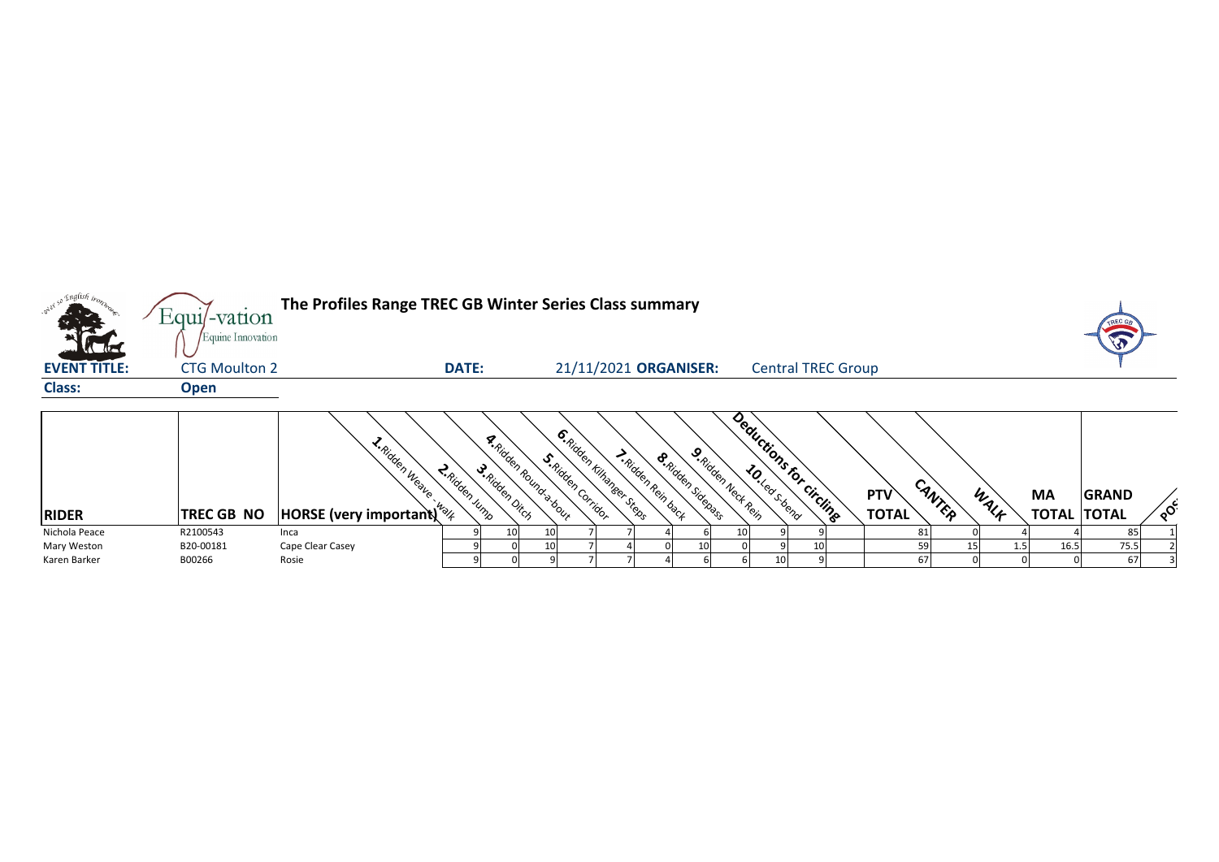|                                      | $Equi$ -vation                            | The Profiles Range TREC GB Winter Series Class summary                          |                    |                                                                                                                                                                                                                                                                                                                                                                                                                                                                                                                                                    |                                                       |                          |                     |                           |                     |        |      |                                 | TREC         |          |
|--------------------------------------|-------------------------------------------|---------------------------------------------------------------------------------|--------------------|----------------------------------------------------------------------------------------------------------------------------------------------------------------------------------------------------------------------------------------------------------------------------------------------------------------------------------------------------------------------------------------------------------------------------------------------------------------------------------------------------------------------------------------------------|-------------------------------------------------------|--------------------------|---------------------|---------------------------|---------------------|--------|------|---------------------------------|--------------|----------|
| <b>ACTIVE</b><br><b>EVENT TITLE:</b> | Equine Innovation<br><b>CTG Moulton 2</b> |                                                                                 | <b>DATE:</b>       |                                                                                                                                                                                                                                                                                                                                                                                                                                                                                                                                                    | 21/11/2021 ORGANISER:                                 |                          |                     | <b>Central TREC Group</b> |                     |        |      |                                 |              |          |
| <b>Class:</b>                        | <b>Open</b>                               |                                                                                 |                    |                                                                                                                                                                                                                                                                                                                                                                                                                                                                                                                                                    |                                                       |                          |                     |                           |                     |        |      |                                 |              |          |
| <b>RIDER</b>                         | <b>TREC GB NO</b>                         | I. Ridden Weave<br><b>HORSE</b> (very important) <sup><math>k_{\%}</math></sup> | <b>Ridden Jump</b> | <b>A.Ridden Roundra-bour</b><br>S. Ridden Corridor<br>$\mathcal{S}_{R_{i_{\mathcal{U}_{\mathcal{C}_{\mathcal{C}_{\mathcal{C}_{\mathcal{C}_{\mathcal{C}_{\mathcal{C}_{\mathcal{C}_{\mathcal{C}_{\mathcal{C}_{\mathcal{C}_{\mathcal{C}_{\mathcal{C}_{\mathcal{C}_{\mathcal{C}_{\mathcal{C}_{\mathcal{C}_{\mathcal{C}_{\mathcal{C}_{\mathcal{C}_{\mathcal{C}_{\mathcal{C}_{\mathcal{C}_{\mathcal{C}_{\mathcal{C}_{\mathcal{C}_{\mathcal{C}_{\mathcal{C}_{\mathcal{C}_{\mathcal{C}_{\mathcal{C}_{\mathcal{C}_{\mathcal{C}_{\mathcal{C}_{\mathcal{C}_{$ | <b>6.</b> Ridden Kilhaneer Steets<br>Aidden Rein back | <b>S.Ridden Sidenass</b> | 9. Ridden Neck Rein | Deductions for circling   | PTV<br><b>TOTAL</b> | CANTER | WALK | <b>MA</b><br><b>TOTAL TOTAL</b> | <b>GRAND</b> | $\delta$ |
| Nichola Peace                        | R2100543                                  | Inca                                                                            |                    |                                                                                                                                                                                                                                                                                                                                                                                                                                                                                                                                                    |                                                       |                          |                     |                           |                     |        |      |                                 | 85           |          |
| Mary Weston                          | B20-00181                                 | Cape Clear Casey                                                                |                    |                                                                                                                                                                                                                                                                                                                                                                                                                                                                                                                                                    |                                                       |                          |                     |                           |                     | 59     |      | 16.5                            | 75.5         |          |
| Karen Barker                         | B00266                                    | Rosie                                                                           |                    |                                                                                                                                                                                                                                                                                                                                                                                                                                                                                                                                                    |                                                       |                          |                     |                           |                     | 67     |      |                                 | 67           |          |

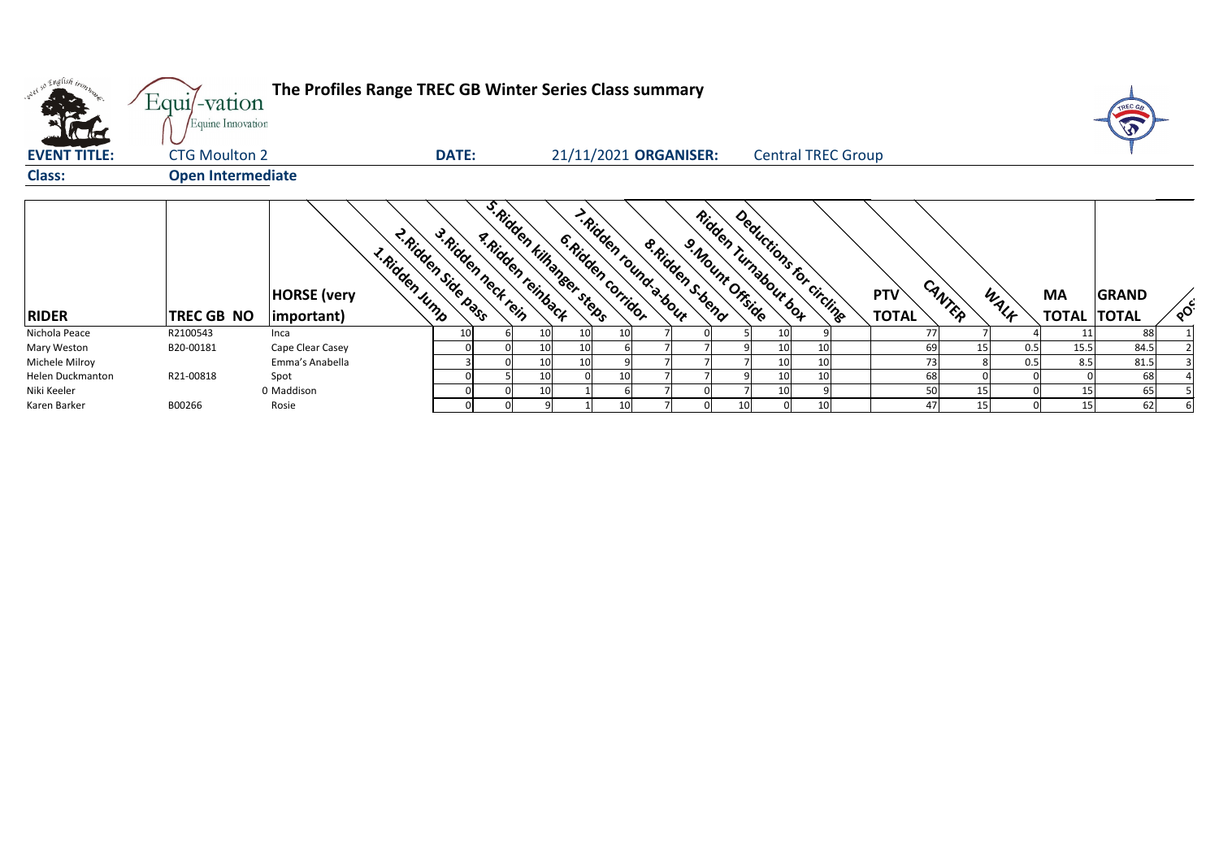

| only so English trong<br><b>The Red</b> | Equi/-vation<br>Equine Innovation | The Profiles Range TREC GB Winter Series Class summary            |                                            |                                                  |                                             |                                      |                      |                           |                            |        |      |                                 |              |                            |
|-----------------------------------------|-----------------------------------|-------------------------------------------------------------------|--------------------------------------------|--------------------------------------------------|---------------------------------------------|--------------------------------------|----------------------|---------------------------|----------------------------|--------|------|---------------------------------|--------------|----------------------------|
| <b>EVENT TITLE:</b>                     | <b>CTG Moulton 2</b>              |                                                                   | <b>DATE:</b>                               |                                                  | 21/11/2021 ORGANISER:                       |                                      |                      | <b>Central TREC Group</b> |                            |        |      |                                 |              |                            |
| <b>Class:</b>                           | <b>Open Intermediate</b>          |                                                                   |                                            |                                                  |                                             |                                      |                      |                           |                            |        |      |                                 |              |                            |
| <b>RIDER</b>                            | <b>TREC GB NO</b>                 | <b>L.Ridden Jump</b><br><b>HORSE</b> (very<br>$ important\rangle$ | 2. Ridden Side pags<br>3. Ridden neck rein | s. Ridden kilhanseer steps<br>a. Ridden reinback | - Ridden round a-bour<br>6. Ridden corridor | 8. Ridden s.bend<br>9. Mount Offside | Ridden Turnabour box | Deductions for circling   | <b>PTV</b><br><b>TOTAL</b> | CANTER | WALF | <b>MA</b><br><b>TOTAL TOTAL</b> | <b>GRAND</b> | $\mathcal{L}_{\mathbf{Q}}$ |
| Nichola Peace                           | R2100543                          | Inca                                                              |                                            | 10<br>10                                         |                                             |                                      | 10                   |                           | 77                         |        |      |                                 | 88           |                            |
| Mary Weston                             | B20-00181                         | Cape Clear Casey                                                  |                                            | 10<br>10                                         |                                             |                                      | 10                   | 10                        | 69                         |        | 0.5  | 15.5                            | 84.5         |                            |
| Michele Milroy                          |                                   | Emma's Anabella                                                   |                                            | 10<br>10                                         |                                             |                                      | 10                   | 10                        | 73                         |        | 0.5  | 8.5                             | 81.5         |                            |
| Helen Duckmanton                        | R21-00818                         | Spot                                                              |                                            | 10                                               | 10                                          |                                      | 10                   | 10                        | 68                         |        |      |                                 | 68           |                            |
| Niki Keeler                             |                                   | 0 Maddison                                                        |                                            | 10                                               |                                             |                                      | 10                   |                           | 50                         | 15     |      | 15                              | 65           |                            |
| Karen Barker                            | B00266                            | Rosie                                                             |                                            |                                                  |                                             |                                      | 10 <sup>1</sup>      | 10                        | 47                         | 15     |      | 15                              | 62           |                            |

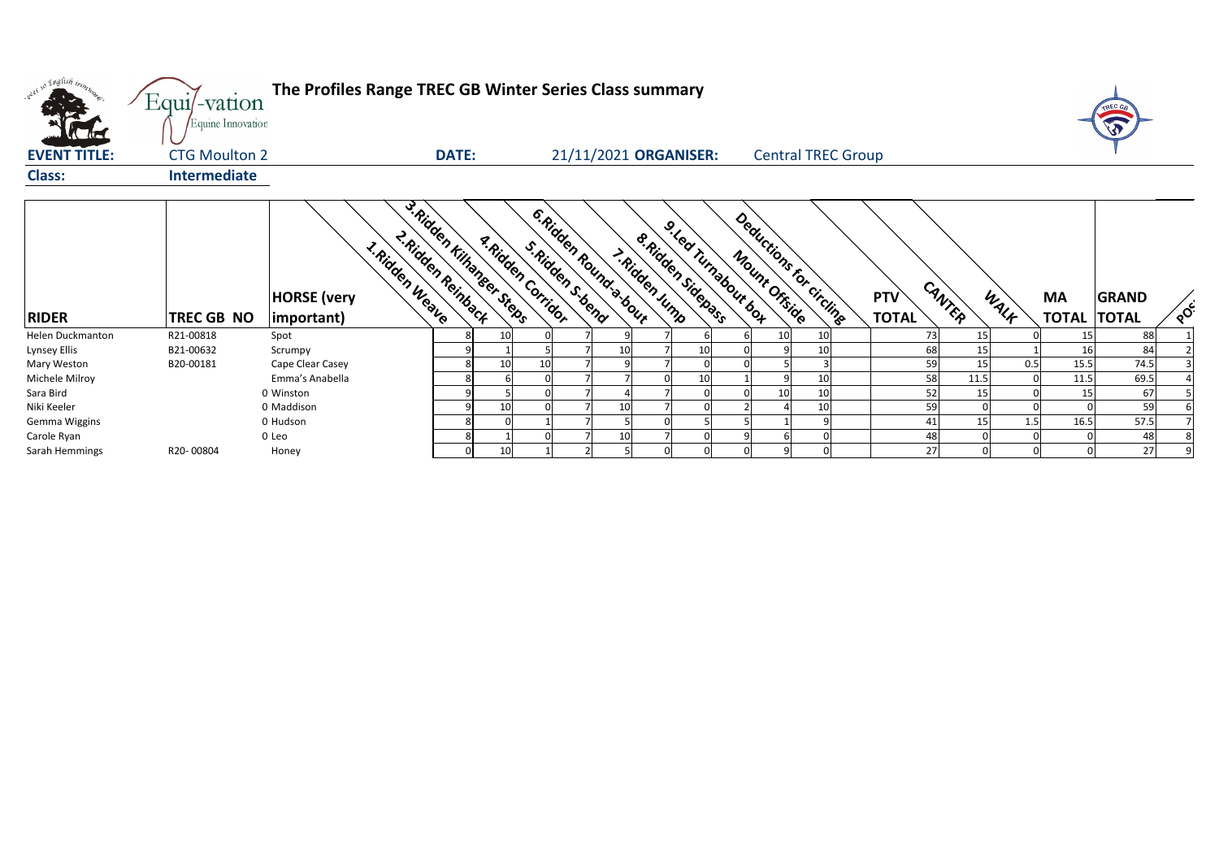

| onel so English trong | $Equi$ -vation<br>Equine Innovation |                                         |                                                                    | The Profiles Range TREC GB Winter Series Class summary |                                               |  |                       |                                            |    |                                                                  |    |                           |  |                            |        |      |      |                                 | TREC GA      |                           |
|-----------------------|-------------------------------------|-----------------------------------------|--------------------------------------------------------------------|--------------------------------------------------------|-----------------------------------------------|--|-----------------------|--------------------------------------------|----|------------------------------------------------------------------|----|---------------------------|--|----------------------------|--------|------|------|---------------------------------|--------------|---------------------------|
| <b>EVENT TITLE:</b>   | <b>CTG Moulton 2</b>                |                                         | <b>DATE:</b>                                                       |                                                        |                                               |  |                       | 21/11/2021 ORGANISER:                      |    |                                                                  |    | <b>Central TREC Group</b> |  |                            |        |      |      |                                 |              |                           |
| <b>Class:</b>         | <b>Intermediate</b>                 |                                         |                                                                    |                                                        |                                               |  |                       |                                            |    |                                                                  |    |                           |  |                            |        |      |      |                                 |              |                           |
| <b>RIDER</b>          | TREC GB NO                          | <b>HORSE</b> (very<br>$ $ important $ $ | 3. Ridden Kilhanser Steer<br>2. Ridden Reinback<br>1. Ridden Weave |                                                        | <b>A.Ridden Corridor</b><br>S. Ridden S. bend |  | 6. Ridden Rounds bour | <b>S. Ridden Sidepans</b><br>>.Ridden Jump |    | Deductions for circline<br>9. Lea Turnabour bot<br>Mount Offside |    |                           |  | <b>PTV</b><br><b>TOTAL</b> | CANTER |      | WALK | <b>MA</b><br><b>TOTAL TOTAL</b> | <b>GRAND</b> | $\mathbf{Q}^{\mathbf{C}}$ |
| Helen Duckmanton      | R21-00818                           | Spot                                    |                                                                    | 10                                                     |                                               |  |                       |                                            |    |                                                                  | 10 | 10                        |  |                            | 73     | 15   |      | 15                              | 88           |                           |
| Lynsey Ellis          | B21-00632                           | Scrumpy                                 |                                                                    |                                                        |                                               |  | 10                    |                                            | 10 |                                                                  |    | 10                        |  |                            | 68     | 15   |      | 16                              | 84           |                           |
| Mary Weston           | B20-00181                           | Cape Clear Casey                        |                                                                    | 10                                                     | 10                                            |  |                       |                                            |    |                                                                  |    | 3                         |  |                            | 59     | 15   | 0.5  | 15.5                            | 74.5         |                           |
| Michele Milroy        |                                     | Emma's Anabella                         |                                                                    |                                                        |                                               |  |                       |                                            | 10 |                                                                  |    | 10                        |  |                            | 58     | 11.5 |      | 11.5                            | 69.5         |                           |
| Sara Bird             |                                     | 0 Winston                               |                                                                    |                                                        |                                               |  |                       |                                            |    |                                                                  | 10 | 10                        |  |                            | 52     | 15   |      | 15                              | 67           |                           |
| Niki Keeler           |                                     | 0 Maddison                              |                                                                    | 10                                                     |                                               |  | 10                    |                                            |    |                                                                  |    | 10                        |  |                            | 59     |      |      |                                 | 59           |                           |
| Gemma Wiggins         |                                     | 0 Hudson                                |                                                                    |                                                        |                                               |  |                       |                                            |    |                                                                  |    |                           |  |                            | 41     | 15   | 1.5  | 16.5                            | 57.5         |                           |
| Carole Ryan           |                                     | 0 Leo                                   |                                                                    |                                                        |                                               |  | 10                    |                                            |    |                                                                  |    |                           |  |                            | 48     |      |      |                                 | 48           |                           |
| Sarah Hemmings        | R20-00804                           | Honey                                   |                                                                    | 10 <sup>1</sup>                                        |                                               |  |                       |                                            |    |                                                                  |    |                           |  |                            | 27     |      |      |                                 | 27           | 9                         |

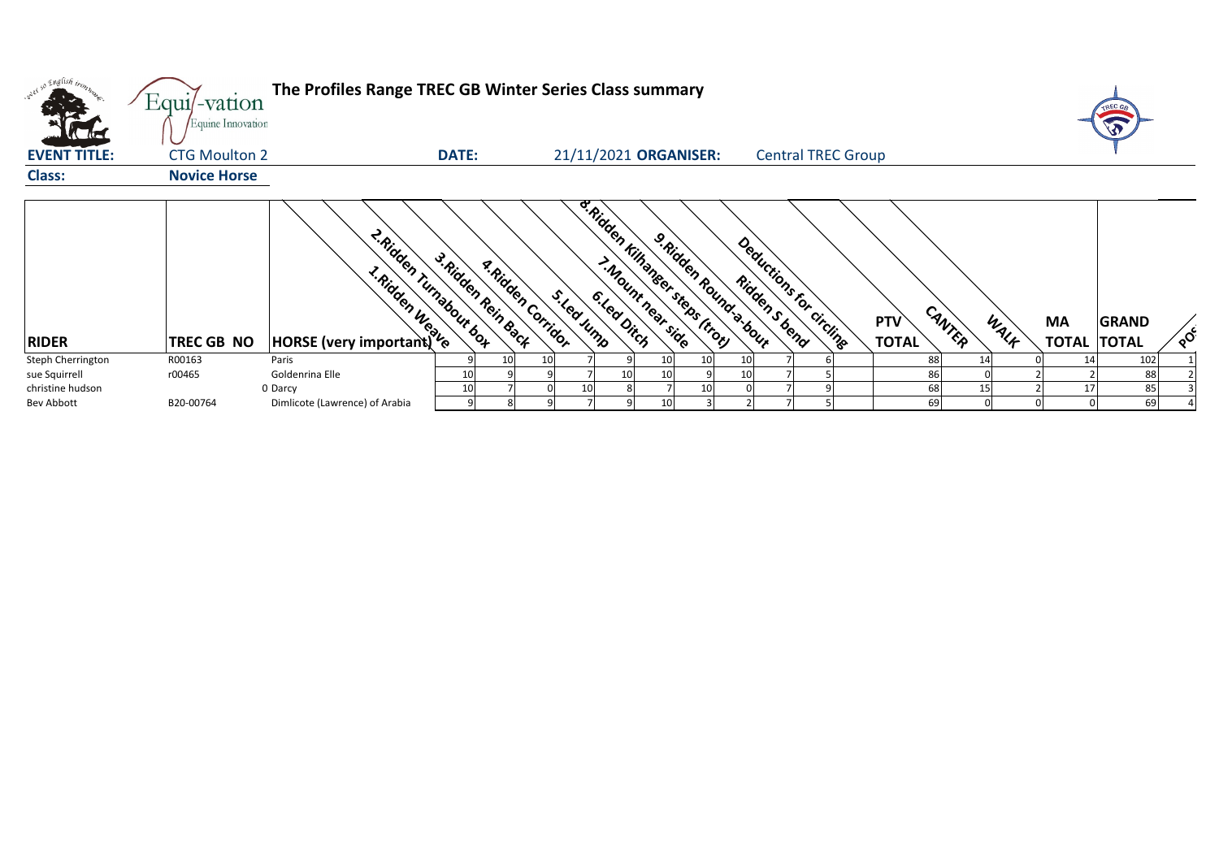| so English iron     | $Equi$ -vation<br>Equine Innovation | The Profiles Range TREC GB Winter Series Class summary |                                                |                                         |                                                              |                         |                                          |                                      |      |                                 |              |                           |
|---------------------|-------------------------------------|--------------------------------------------------------|------------------------------------------------|-----------------------------------------|--------------------------------------------------------------|-------------------------|------------------------------------------|--------------------------------------|------|---------------------------------|--------------|---------------------------|
| <b>EVENT TITLE:</b> | <b>CTG Moulton 2</b>                |                                                        | <b>DATE:</b>                                   |                                         | 21/11/2021 ORGANISER:                                        |                         | <b>Central TREC Group</b>                |                                      |      |                                 |              |                           |
| <b>Class:</b>       | <b>Novice Horse</b>                 |                                                        |                                                |                                         |                                                              |                         |                                          |                                      |      |                                 |              |                           |
| <b>RIDER</b>        | <b>TREC GB NO</b>                   | <b>Aidden Trinals</b>                                  | 2. Ridden Turnabout bot<br>3. Ridden Rein Back | <b>A.Ridden Corridor</b><br>S. Lea Jump | <b>B.Ridden Kilhaneer steps (tron)</b><br>I. Mount near side | 9. Ridden Round: 3-bour | Deductions for circling<br>Ridden s bend | CANTER<br><b>PTV</b><br><b>TOTAL</b> | WALK | <b>MA</b><br><b>TOTAL TOTAL</b> | <b>GRAND</b> | $\mathbf{Q}^{\mathbf{C}}$ |
| Steph Cherrington   | R00163                              | Paris                                                  |                                                |                                         | 10                                                           | 10<br>10                |                                          | 88                                   |      |                                 | 102          |                           |
| sue Squirrell       | r00465                              | Goldenrina Elle                                        | 10                                             |                                         | 10                                                           | 10                      |                                          | 86                                   |      |                                 | 88           |                           |
| christine hudson    |                                     | 0 Darcy                                                | 10                                             |                                         |                                                              | 10                      |                                          | 68                                   | 15   | 17                              | 85           |                           |
| Bev Abbott          | B20-00764                           | Dimlicote (Lawrence) of Arabia                         |                                                |                                         | 10                                                           |                         |                                          | 69                                   |      |                                 | 69           |                           |



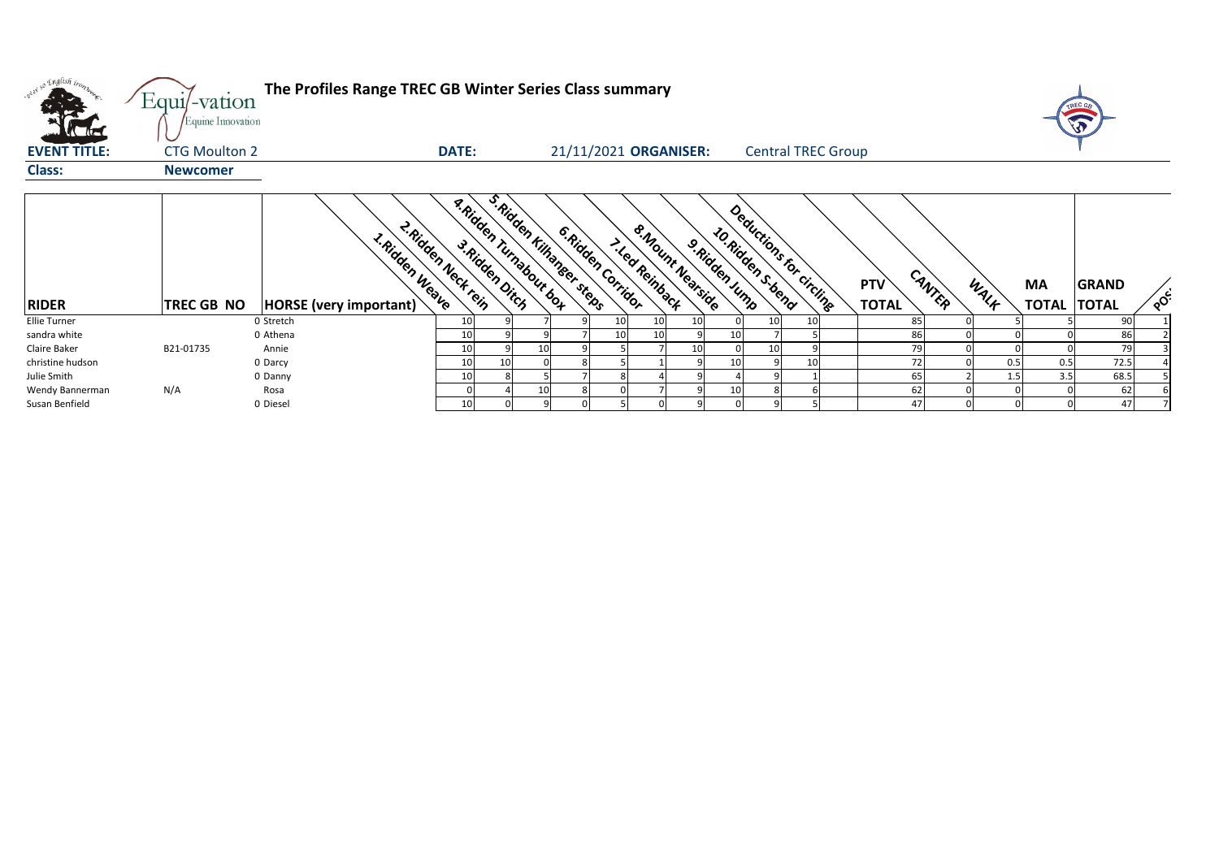

| only so English tronn | Equi/-vation<br>Equine Innovation | The Profiles Range TREC GB Winter Series Class summary                  |              |                                                           |                       |    |                                          |                |                                                |    |                            |        |      |                                 |              |                 |
|-----------------------|-----------------------------------|-------------------------------------------------------------------------|--------------|-----------------------------------------------------------|-----------------------|----|------------------------------------------|----------------|------------------------------------------------|----|----------------------------|--------|------|---------------------------------|--------------|-----------------|
| <b>EVENT TITLE:</b>   | <b>CTG Moulton 2</b>              |                                                                         | <b>DATE:</b> |                                                           | 21/11/2021 ORGANISER: |    |                                          |                | <b>Central TREC Group</b>                      |    |                            |        |      |                                 |              |                 |
| <b>Class:</b>         | <b>Newcomer</b>                   |                                                                         |              |                                                           |                       |    |                                          |                |                                                |    |                            |        |      |                                 |              |                 |
| <b>RIDER</b>          | <b>TREC GB NO</b>                 | 2. Ridden Neck tein<br>1. Ridden Weave<br><b>HORSE</b> (very important) |              | s. Ridden Kilhanser steps<br><b>R.Ridden Turnabourbox</b> | 6. Ridden Corridor    |    | 8. Mount Nearside<br><b>Med Reinback</b> | 9. Ridden Jump | Deductions for circlinge<br>10. Ridden S. bend |    | <b>PTV</b><br><b>TOTAL</b> | CANTER | WALK | <b>MA</b><br><b>TOTAL TOTAL</b> | <b>GRAND</b> | $\mathcal{S}$ ် |
| <b>Ellie Turner</b>   |                                   | 0 Stretch                                                               | 10           |                                                           |                       |    |                                          |                |                                                | 10 | 85                         |        |      |                                 | 90           |                 |
| sandra white          |                                   | 0 Athena                                                                | 10           |                                                           |                       | 10 |                                          | 10             |                                                |    | 86                         |        |      |                                 | 86           |                 |
| Claire Baker          | B21-01735                         | Annie                                                                   | 10           | 10                                                        |                       |    |                                          |                |                                                |    | 79                         |        |      |                                 | 79           |                 |
| christine hudson      |                                   | 0 Darcy                                                                 | 10           | 10                                                        |                       |    |                                          | 10             |                                                | 10 | 72                         |        | 0.5  | 0.5                             | 72.5         |                 |
| Julie Smith           |                                   | 0 Danny                                                                 | 10           |                                                           |                       |    |                                          |                |                                                |    | 65                         |        | 1.5  | 3.5                             | 68.5         |                 |
| Wendy Bannerman       | N/A                               | Rosa                                                                    |              | 10                                                        |                       |    |                                          |                |                                                |    | 62                         |        |      |                                 | 62           |                 |
| Susan Benfield        |                                   | 0 Diesel                                                                | 10           |                                                           |                       |    |                                          |                |                                                |    | 47                         |        |      |                                 | 47           |                 |

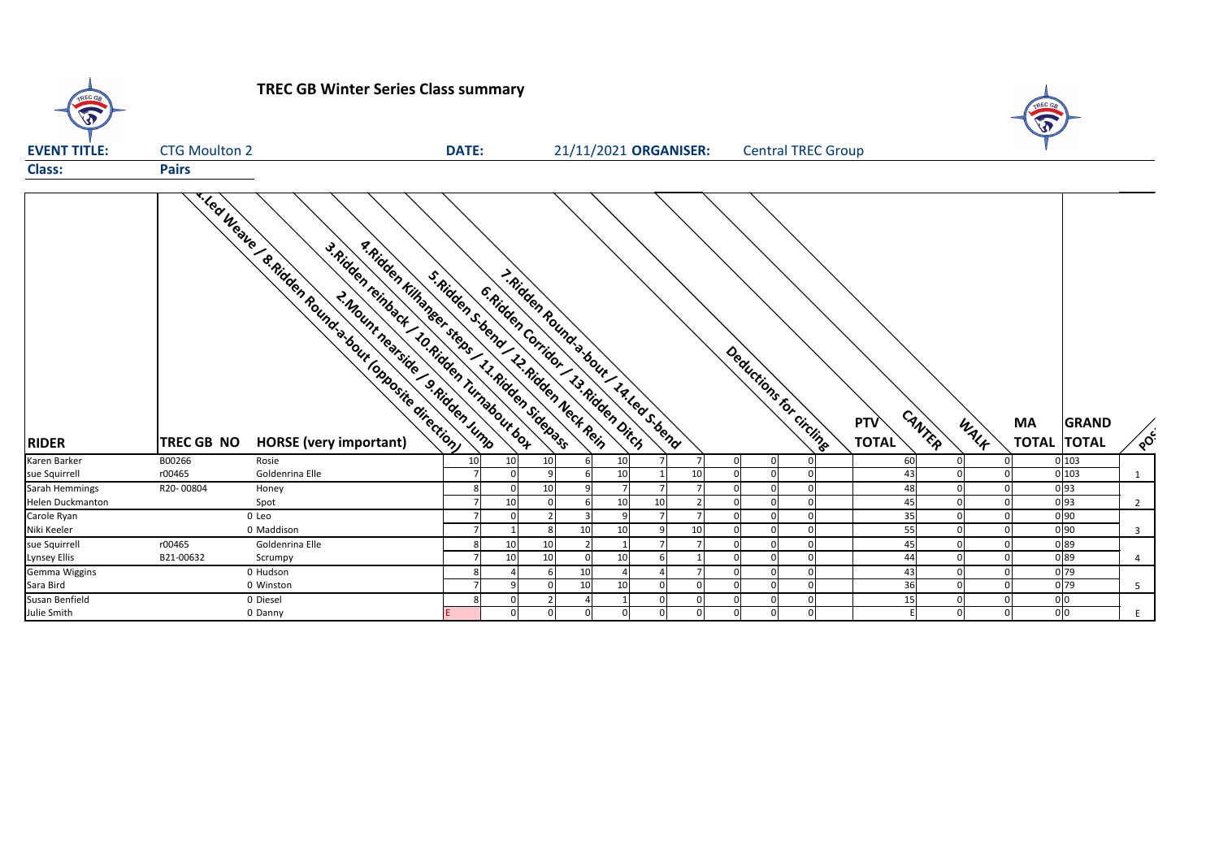

## **TREC GB Winter Series Class summary**

| <b>EVENT TITLE:</b>     | <b>CTG Moulton 2</b>      | <b>DATE:</b>                                                                                                                           |                                     |                                        | 21/11/2021 ORGANISER: |                |                |                                  | <b>Central TREC Group</b> |                            |                | $\sqrt{2}$                   |                   |
|-------------------------|---------------------------|----------------------------------------------------------------------------------------------------------------------------------------|-------------------------------------|----------------------------------------|-----------------------|----------------|----------------|----------------------------------|---------------------------|----------------------------|----------------|------------------------------|-------------------|
| <b>Class:</b>           | <b>Pairs</b>              |                                                                                                                                        |                                     |                                        |                       |                |                |                                  |                           |                            |                |                              |                   |
| <b>RIDER</b>            | <b>TREC GB NO</b>         | a Ridden Kilhanger steps 11. Ridden Siden ass<br>3. Ridden reinback 10. Ridden Turnabour bot<br>S. Ridden S. bend 12. Ridden Neck Rein | 6. Ridden Corridor 13. Ridden Dirch | I. Ridden Round's bour 14. Led s. bend |                       |                |                |                                  | Deductions for circline   | <b>PTV</b><br><b>TOTAL</b> | CANTER<br>WALK | <b>MA</b><br><b>TOTAL TC</b> | GF                |
| Karen Barker            | B00266<br>Rosie           | 10                                                                                                                                     | 10                                  | 10                                     | 10                    |                |                | 0<br>$\overline{0}$              |                           | 60                         |                |                              | 0 103             |
| sue Squirrell           | Goldenrina Elle<br>r00465 |                                                                                                                                        |                                     |                                        | 10                    |                | 10             | $\Omega$<br>$\Omega$             |                           | 43                         |                |                              | 0 103             |
| Sarah Hemmings          | R20-00804<br>Honey        |                                                                                                                                        |                                     | 10                                     |                       |                |                | $\overline{0}$                   |                           | 48                         |                |                              | 0 93              |
| <b>Helen Duckmanton</b> | Spot                      |                                                                                                                                        | 10                                  |                                        | 10                    | 10             |                | $\Omega$<br>$\Omega$             | $\Omega$                  | 45                         |                |                              | $0\overline{)93}$ |
| Carole Ryan             | 0 Leo                     |                                                                                                                                        |                                     |                                        |                       |                |                | $\Omega$<br>$\Omega$             | $\Omega$                  | 35                         |                |                              | $0\,90$           |
| Niki Keeler             | 0 Maddison                |                                                                                                                                        |                                     | 10                                     | 10                    | 9              | 10             | $\overline{0}$<br>0              | $\Omega$                  | 55                         | ΩI             |                              | 0 90              |
| sue Squirrell           | r00465<br>Goldenrina Elle | 8 <sup>1</sup>                                                                                                                         | 10                                  | 10                                     | $\overline{2}$        | 7 <sup>1</sup> | 7 <sup>1</sup> | 0 <br> 0                         | 0                         | 45                         | 0              | $\overline{0}$               | 0 89              |
| <b>Lynsey Ellis</b>     | B21-00632<br>Scrumpy      |                                                                                                                                        | 10                                  | 10                                     | 10                    | 6              |                | $\overline{0}$<br>$\overline{0}$ | <sup>0</sup>              | 44                         | 0l             | $\Omega$                     | 0 89              |
| Gemma Wiggins           | 0 Hudson                  |                                                                                                                                        |                                     | 10                                     | 4                     |                |                | $\overline{0}$<br>$\Omega$       | $\Omega$                  | 43                         | 0l             |                              | $0\overline{79}$  |
| Sara Bird               | 0 Winston                 |                                                                                                                                        | -q                                  | 10<br>n                                | 10                    |                |                | $\overline{0}$<br>$\Omega$       | $\Omega$                  | 36                         | ΩI             |                              | 0 79              |
| Susan Benfield          | 0 Diesel                  | 81                                                                                                                                     | $\Omega$                            |                                        |                       |                |                | $\mathbf 0$<br>$\overline{0}$    | $\Omega$                  | 15                         | 0              |                              | 0 <sub>0</sub>    |
| Julie Smith             | 0 Danny                   |                                                                                                                                        |                                     | <sup>n</sup>                           | $\overline{0}$        | $\Omega$       |                | $\Omega$<br>0                    | $\Omega$                  |                            | <sup>0</sup>   | ∩                            | 0 <sup>0</sup>    |